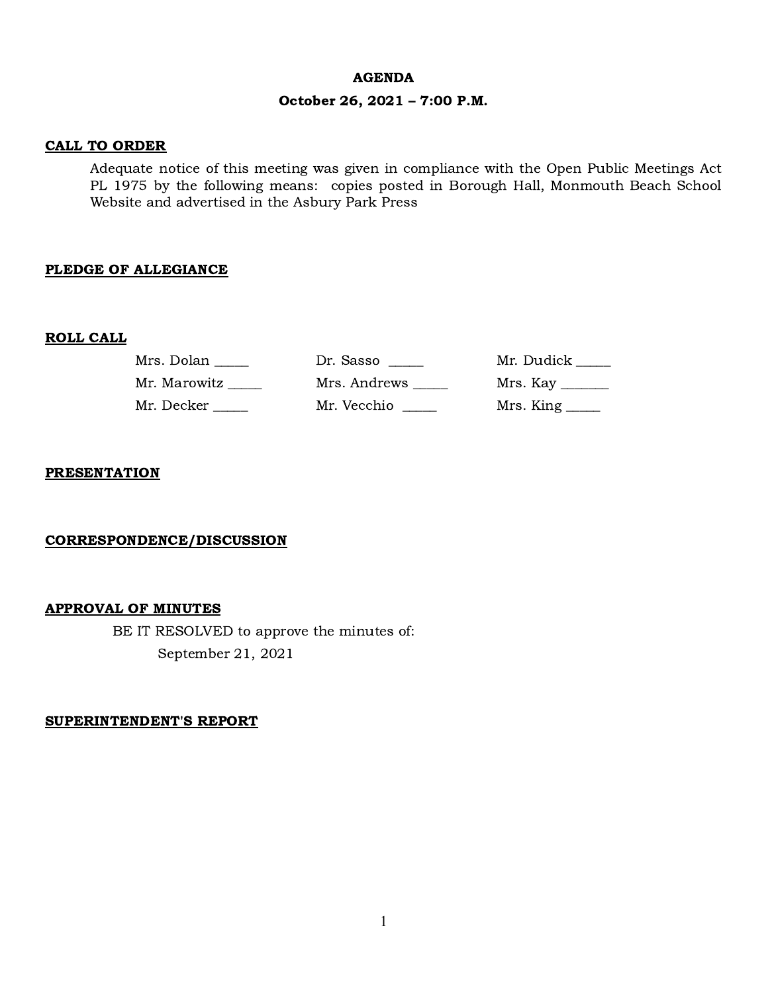#### AGENDA

### October 26, 2021 – 7:00 P.M.

### CALL TO ORDER

Adequate notice of this meeting was given in compliance with the Open Public Meetings Act PL 1975 by the following means: copies posted in Borough Hall, Monmouth Beach School Website and advertised in the Asbury Park Press

### PLEDGE OF ALLEGIANCE

### ROLL CALL

| Mrs. Dolan   | Dr. Sasso    | Mr. Dudick      |
|--------------|--------------|-----------------|
| Mr. Marowitz | Mrs. Andrews |                 |
| Mr. Decker   | Mr. Vecchio  | Mrs. King _____ |

### **PRESENTATION**

### CORRESPONDENCE/DISCUSSION

#### APPROVAL OF MINUTES

BE IT RESOLVED to approve the minutes of: September 21, 2021

SUPERINTENDENT'S REPORT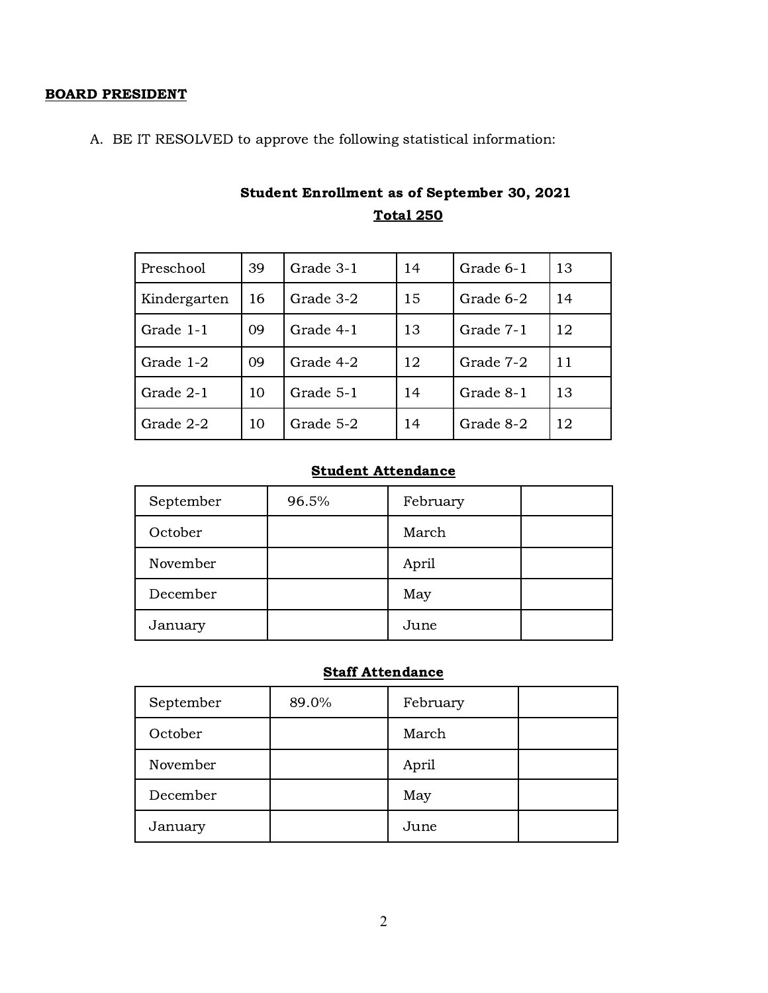### BOARD PRESIDENT

A. BE IT RESOLVED to approve the following statistical information:

| Preschool    | 39 | Grade 3-1 | 14 | Grade 6-1 | 13 |
|--------------|----|-----------|----|-----------|----|
| Kindergarten | 16 | Grade 3-2 | 15 | Grade 6-2 | 14 |
| Grade 1-1    | 09 | Grade 4-1 | 13 | Grade 7-1 | 12 |
| Grade 1-2    | 09 | Grade 4-2 | 12 | Grade 7-2 | 11 |
| Grade 2-1    | 10 | Grade 5-1 | 14 | Grade 8-1 | 13 |
| Grade 2-2    | 10 | Grade 5-2 | 14 | Grade 8-2 | 12 |

# Student Enrollment as of September 30, 2021 Total 250

# Student Attendance

| September | 96.5% | February |  |
|-----------|-------|----------|--|
| October   |       | March    |  |
| November  |       | April    |  |
| December  |       | May      |  |
| January   |       | June     |  |

# **Staff Attendance**

| September | 89.0% | February |  |
|-----------|-------|----------|--|
| October   |       | March    |  |
| November  |       | April    |  |
| December  |       | May      |  |
| January   |       | June     |  |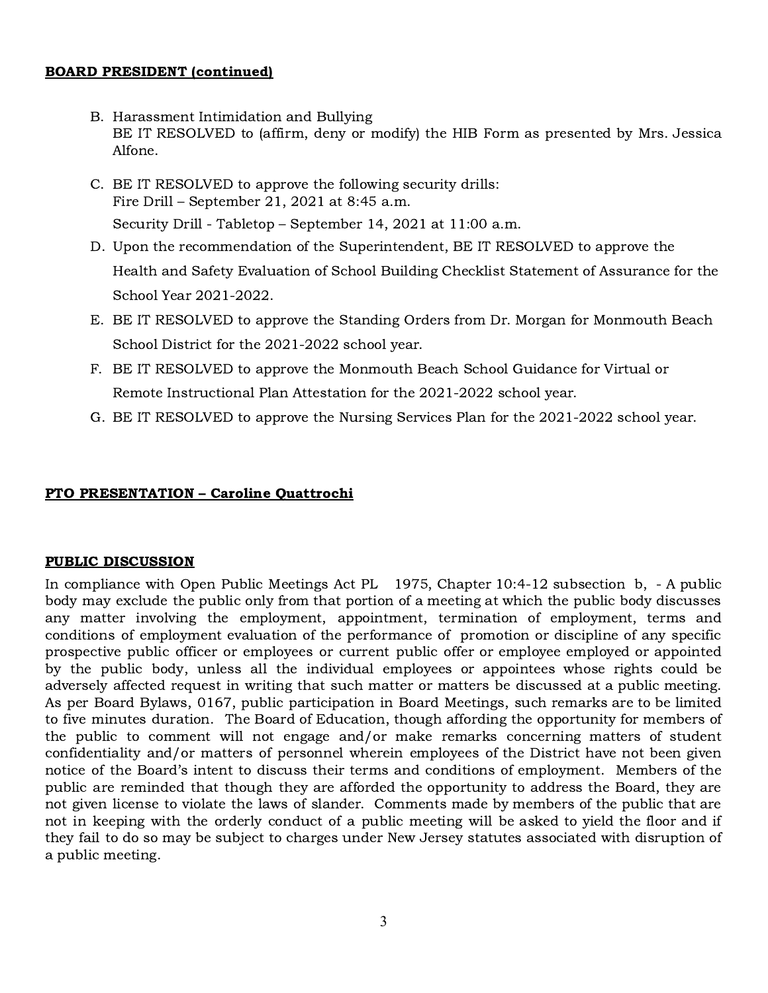### BOARD PRESIDENT (continued)

- B. Harassment Intimidation and Bullying BE IT RESOLVED to (affirm, deny or modify) the HIB Form as presented by Mrs. Jessica Alfone.
- C. BE IT RESOLVED to approve the following security drills: Fire Drill – September 21, 2021 at 8:45 a.m. Security Drill - Tabletop – September 14, 2021 at 11:00 a.m.
- D. Upon the recommendation of the Superintendent, BE IT RESOLVED to approve the Health and Safety Evaluation of School Building Checklist Statement of Assurance for the School Year 2021-2022.
- E. BE IT RESOLVED to approve the Standing Orders from Dr. Morgan for Monmouth Beach School District for the 2021-2022 school year.
- F. BE IT RESOLVED to approve the Monmouth Beach School Guidance for Virtual or Remote Instructional Plan Attestation for the 2021-2022 school year.
- G. BE IT RESOLVED to approve the Nursing Services Plan for the 2021-2022 school year.

# PTO PRESENTATION – Caroline Quattrochi

# PUBLIC DISCUSSION

In compliance with Open Public Meetings Act PL 1975, Chapter 10:4-12 subsection b, - A public body may exclude the public only from that portion of a meeting at which the public body discusses any matter involving the employment, appointment, termination of employment, terms and conditions of employment evaluation of the performance of promotion or discipline of any specific prospective public officer or employees or current public offer or employee employed or appointed by the public body, unless all the individual employees or appointees whose rights could be adversely affected request in writing that such matter or matters be discussed at a public meeting. As per Board Bylaws, 0167, public participation in Board Meetings, such remarks are to be limited to five minutes duration. The Board of Education, though affording the opportunity for members of the public to comment will not engage and/or make remarks concerning matters of student confidentiality and/or matters of personnel wherein employees of the District have not been given notice of the Board's intent to discuss their terms and conditions of employment. Members of the public are reminded that though they are afforded the opportunity to address the Board, they are not given license to violate the laws of slander. Comments made by members of the public that are not in keeping with the orderly conduct of a public meeting will be asked to yield the floor and if they fail to do so may be subject to charges under New Jersey statutes associated with disruption of a public meeting.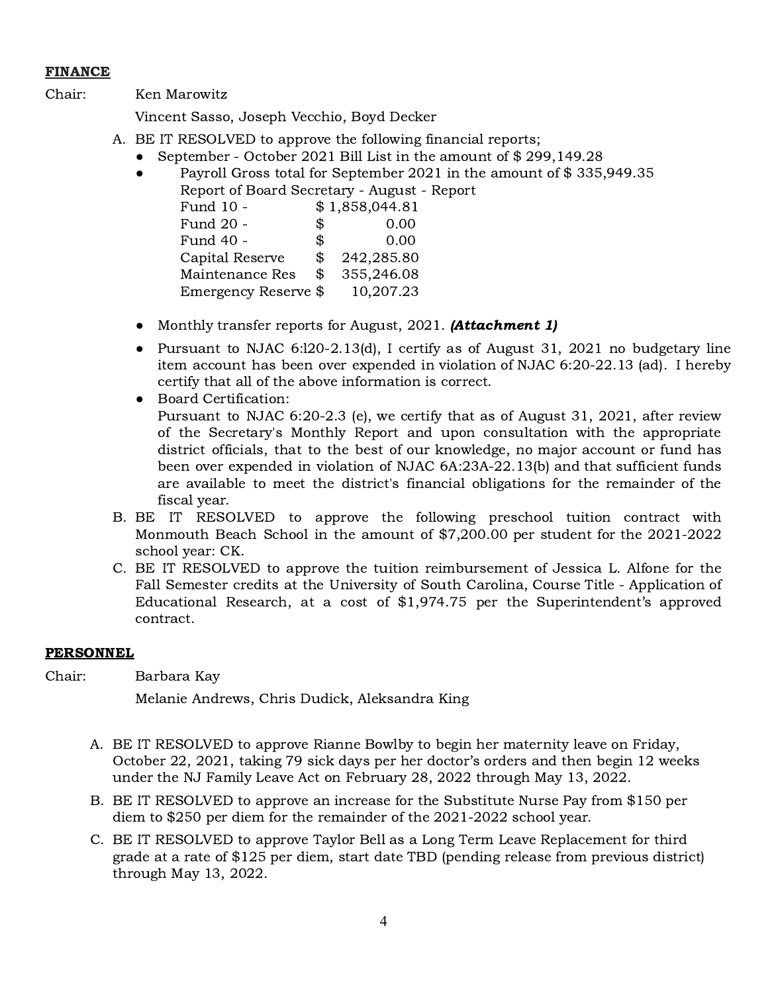# FINANCE

Chair: Ken Marowitz

Vincent Sasso, Joseph Vecchio, Boyd Decker

- A. BE IT RESOLVED to approve the following financial reports;
	- September October 2021 Bill List in the amount of \$ 299,149.28
	- Payroll Gross total for September 2021 in the amount of \$335,949.35 Report of Board Secretary - August - Report

| Report of Board Secretary - Rugust |     |                |
|------------------------------------|-----|----------------|
| Fund 10 -                          |     | \$1,858,044.81 |
| Fund 20 -                          | \$. | 0.00           |
| Fund 40 -                          | \$. | 0.00           |
| Capital Reserve                    | \$  | 242,285.80     |
| Maintenance Res                    | \$  | 355,246.08     |
| Emergency Reserve \$               |     | 10,207.23      |
|                                    |     |                |

- Monthly transfer reports for August, 2021. **(Attachment 1)**
- Pursuant to NJAC 6:120-2.13(d), I certify as of August 31, 2021 no budgetary line item account has been over expended in violation of NJAC 6:20-22.13 (ad). I hereby certify that all of the above information is correct.
- Board Certification: Pursuant to NJAC 6:20-2.3 (e), we certify that as of August 31, 2021, after review of the Secretary's Monthly Report and upon consultation with the appropriate

district officials, that to the best of our knowledge, no major account or fund has been over expended in violation of NJAC 6A:23A-22.13(b) and that sufficient funds are available to meet the district's financial obligations for the remainder of the fiscal year.

- B. BE IT RESOLVED to approve the following preschool tuition contract with Monmouth Beach School in the amount of \$7,200.00 per student for the 2021-2022 school year: CK.
- C. BE IT RESOLVED to approve the tuition reimbursement of Jessica L. Alfone for the Fall Semester credits at the University of South Carolina, Course Title - Application of Educational Research, at a cost of \$1,974.75 per the Superintendent's approved contract.

# PERSONNEL

Chair: Barbara Kay

Melanie Andrews, Chris Dudick, Aleksandra King

- A. BE IT RESOLVED to approve Rianne Bowlby to begin her maternity leave on Friday, October 22, 2021, taking 79 sick days per her doctor's orders and then begin 12 weeks under the NJ Family Leave Act on February 28, 2022 through May 13, 2022.
- B. BE IT RESOLVED to approve an increase for the Substitute Nurse Pay from \$150 per diem to \$250 per diem for the remainder of the 2021-2022 school year.
- C. BE IT RESOLVED to approve Taylor Bell as a Long Term Leave Replacement for third grade at a rate of \$125 per diem, start date TBD (pending release from previous district) through May 13, 2022.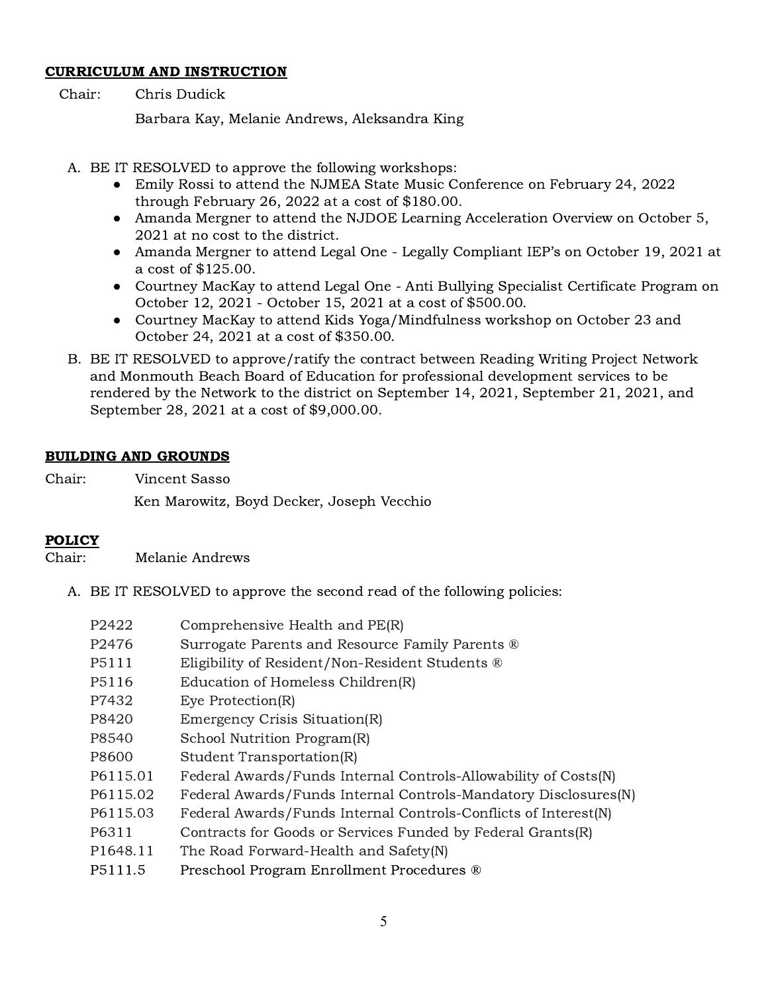### CURRICULUM AND INSTRUCTION

Chair: Chris Dudick

Barbara Kay, Melanie Andrews, Aleksandra King

- A. BE IT RESOLVED to approve the following workshops:
	- Emily Rossi to attend the NJMEA State Music Conference on February 24, 2022 through February 26, 2022 at a cost of \$180.00.
	- Amanda Mergner to attend the NJDOE Learning Acceleration Overview on October 5, 2021 at no cost to the district.
	- Amanda Mergner to attend Legal One Legally Compliant IEP's on October 19, 2021 at a cost of \$125.00.
	- Courtney MacKay to attend Legal One Anti Bullying Specialist Certificate Program on October 12, 2021 - October 15, 2021 at a cost of \$500.00.
	- Courtney MacKay to attend Kids Yoga/Mindfulness workshop on October 23 and October 24, 2021 at a cost of \$350.00.
- B. BE IT RESOLVED to approve/ratify the contract between Reading Writing Project Network and Monmouth Beach Board of Education for professional development services to be rendered by the Network to the district on September 14, 2021, September 21, 2021, and September 28, 2021 at a cost of \$9,000.00.

# BUILDING AND GROUNDS

Chair: Vincent Sasso Ken Marowitz, Boyd Decker, Joseph Vecchio

# POLICY

Chair: Melanie Andrews

A. BE IT RESOLVED to approve the second read of the following policies:

| P2422              | Comprehensive Health and PE(R)                                  |
|--------------------|-----------------------------------------------------------------|
| P <sub>2476</sub>  | Surrogate Parents and Resource Family Parents ®                 |
| P <sub>5</sub> 111 | Eligibility of Resident/Non-Resident Students ®                 |
| P <sub>5116</sub>  | Education of Homeless Children(R)                               |
| P7432              | Eye Protection(R)                                               |
| P8420              | Emergency Crisis Situation(R)                                   |
| P8540              | School Nutrition Program(R)                                     |
| P8600              | Student Transportation(R)                                       |
| P6115.01           | Federal Awards/Funds Internal Controls-Allowability of Costs(N) |
| P6115.02           | Federal Awards/Funds Internal Controls-Mandatory Disclosures(N) |
| P6115.03           | Federal Awards/Funds Internal Controls-Conflicts of Interest(N) |
| P6311              | Contracts for Goods or Services Funded by Federal Grants(R)     |
| P1648.11           | The Road Forward-Health and Safety(N)                           |
| P5111.5            | Preschool Program Enrollment Procedures ®                       |
|                    |                                                                 |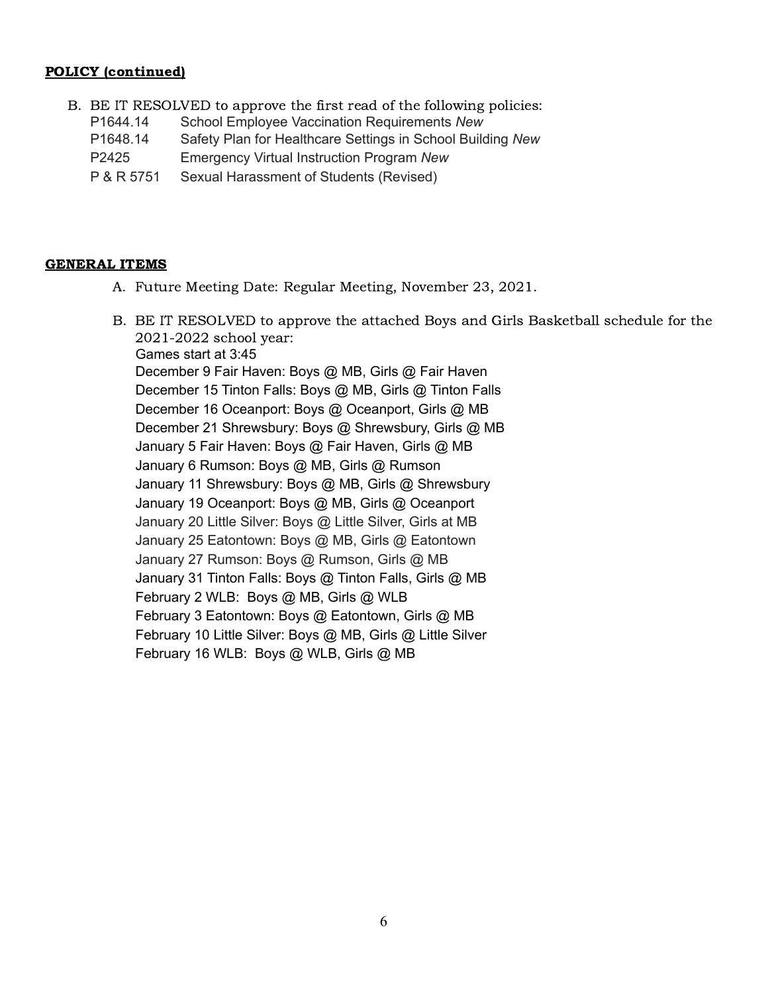# POLICY (continued)

- B. BE IT RESOLVED to approve the first read of the following policies:
	- P1644.14 School Employee Vaccination Requirements *New*
	- P1648.14 Safety Plan for Healthcare Settings in School Building *New*
	- P2425 Emergency Virtual Instruction Program *New*
	- P & R 5751 Sexual Harassment of Students (Revised)

# GENERAL ITEMS

- A. Future Meeting Date: Regular Meeting, November 23, 2021.
- B. BE IT RESOLVED to approve the attached Boys and Girls Basketball schedule for the 2021-2022 school year: Games start at 3:45 December 9 Fair Haven: Boys @ MB, Girls @ Fair Haven December 15 Tinton Falls: Boys @ MB, Girls @ Tinton Falls December 16 Oceanport: Boys @ Oceanport, Girls @ MB December 21 Shrewsbury: Boys @ Shrewsbury, Girls @ MB January 5 Fair Haven: Boys @ Fair Haven, Girls @ MB January 6 Rumson: Boys @ MB, Girls @ Rumson January 11 Shrewsbury: Boys @ MB, Girls @ Shrewsbury January 19 Oceanport: Boys @ MB, Girls @ Oceanport January 20 Little Silver: Boys @ Little Silver, Girls at MB January 25 Eatontown: Boys @ MB, Girls @ Eatontown January 27 Rumson: Boys @ Rumson, Girls @ MB January 31 Tinton Falls: Boys @ Tinton Falls, Girls @ MB February 2 WLB: Boys @ MB, Girls @ WLB February 3 Eatontown: Boys @ Eatontown, Girls @ MB February 10 Little Silver: Boys @ MB, Girls @ Little Silver February 16 WLB: Boys @ WLB, Girls @ MB